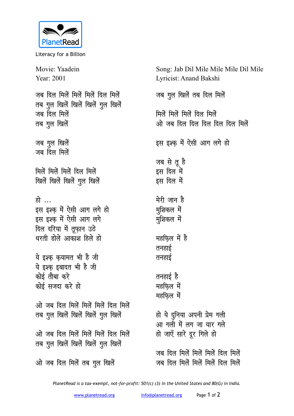

Literacy for a Billion

Movie: Yaadein Year: 2001 जब दिल मिलें मिलें मिलें दिल मिलें **तब गुल खिलें खिलें खिलें गुल खिलें** जब दिल मिलें **तब गुल खिलें** जब गुल खिलें जब दिल मिले<mark>ं</mark> **feysa feysa feysa fny feysa** <u>खिलें खिलें गुल खिलें</u> हो … इस इश्क में ऐसी आग लगे हो इस इश्क में ऐसी आग लगे <u>दिल दरिया में तूफ़ान उठे</u> **धरती डोले आकाश हिले हो** <u>ये इश्क कयामत भी है जी</u> ये इश्क इबादत भी है जी <u>कोई तौबा करे</u> **कोई सजदा करे हो** <u>ओ जब दिल मिलें मिलें मिलें दिल मिलें</u> **तब गुल खिलें खिलें खिलें गुल खिलें** <u>ओ जब दिल मिलें मिलें मिलें दिल मिलें</u> **तब गुल खिलें खिलें खिलें गुल खिलें** <u>ओ</u> जब दिल मिलें तब गुल खिलें

Song: Jab Dil Mile Mile Mile Dil Mile Lyricist: Anand Bakshi जब गुल खिलें तब दिल मिलें **मिलें मिलें मिलें दिल मिलें** <u>ओ जब दिल दिल दिल दिल दिल मिलें</u> इस इश्क में ऐसी आग लगे हो जब से तू है *s***स** दिल में **हस** दिल में मेरी जान है **मुशिकल** में मुशिकल में महफिल में है तनहाई तनहाई **तनहाई है महफिल** में **महफिल** में हो ये दुनिया अपनी प्रेम गली आ गली में लग जा यार गले हो जाएँ सारे दूर गिले ह<del>ो</del> जब दिल मिलें मिलें मिलें दिल मिले<mark>ं</mark> जब दिल मिलें मिलें मिलें दिल मिलें

*PlanetRead is a tax-exempt, not-for-profit: 501(c) (3) in the United States and 80(G) in India.*